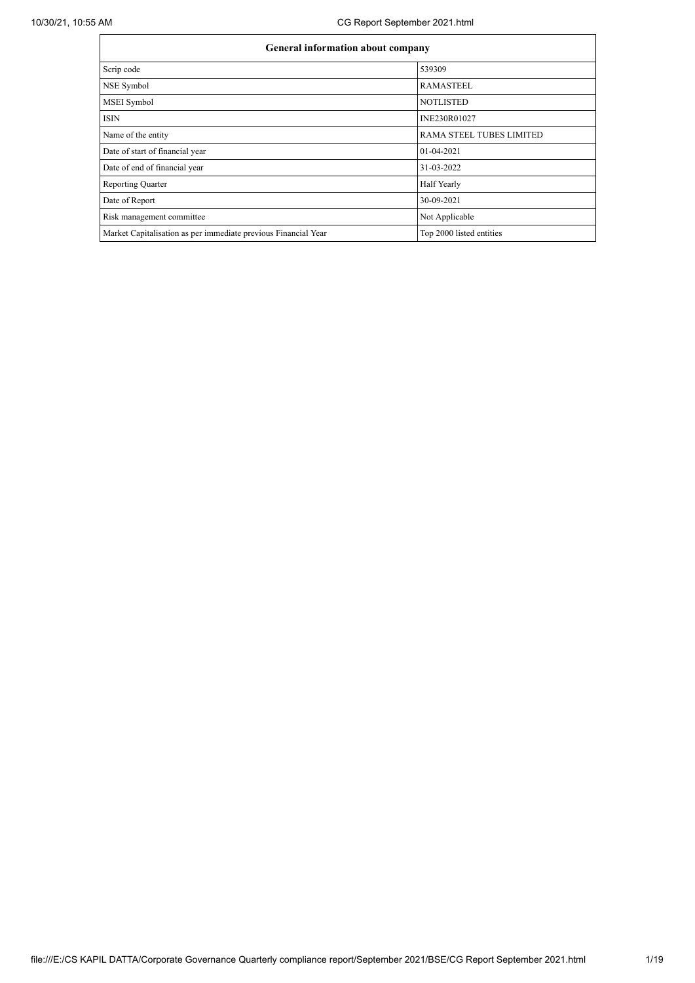| General information about company                              |                                 |  |  |  |  |  |
|----------------------------------------------------------------|---------------------------------|--|--|--|--|--|
| Scrip code                                                     | 539309                          |  |  |  |  |  |
| NSE Symbol                                                     | <b>RAMASTEEL</b>                |  |  |  |  |  |
| <b>MSEI</b> Symbol                                             | <b>NOTLISTED</b>                |  |  |  |  |  |
| <b>ISIN</b>                                                    | INE230R01027                    |  |  |  |  |  |
| Name of the entity                                             | <b>RAMA STEEL TUBES LIMITED</b> |  |  |  |  |  |
| Date of start of financial year                                | 01-04-2021                      |  |  |  |  |  |
| Date of end of financial year                                  | 31-03-2022                      |  |  |  |  |  |
| <b>Reporting Quarter</b>                                       | Half Yearly                     |  |  |  |  |  |
| Date of Report                                                 | 30-09-2021                      |  |  |  |  |  |
| Risk management committee                                      | Not Applicable                  |  |  |  |  |  |
| Market Capitalisation as per immediate previous Financial Year | Top 2000 listed entities        |  |  |  |  |  |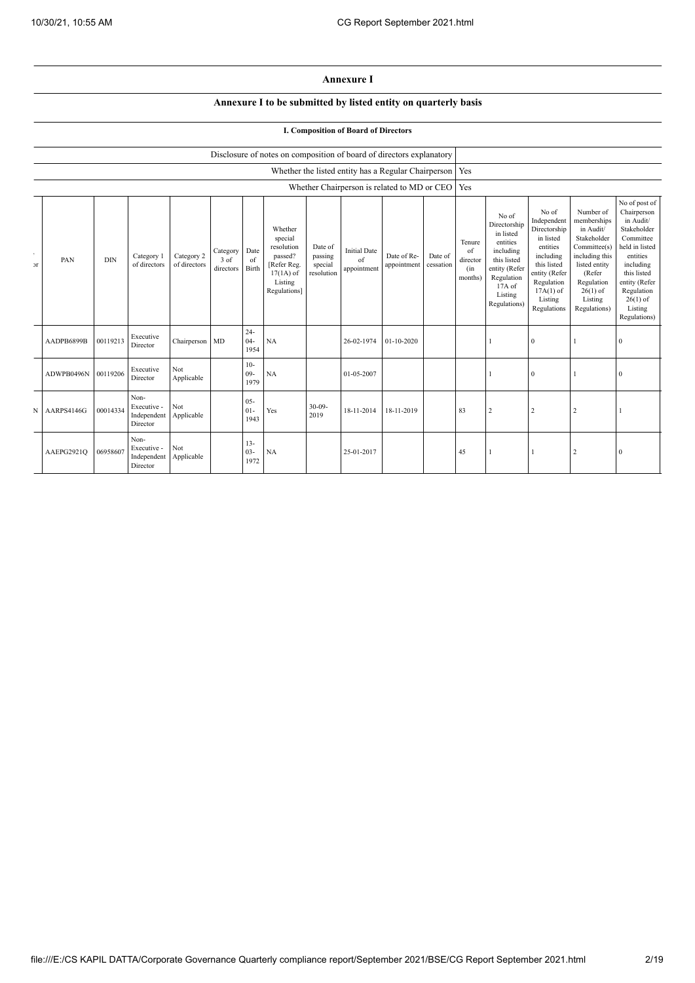## **Annexure I**

## **Annexure I to be submitted by listed entity on quarterly basis**

## **I. Composition of Board of Directors**

|             |            |                                                                                                                                                               |                                                |                            |                               |                          | Disclosure of notes on composition of board of directors explanatory |                                  |                                          |                            |                      |                                            |                                                                                                                                                |                                                                                                                                                                   |                                                                                                                                                                          |                                                                                                                                                                                                         |
|-------------|------------|---------------------------------------------------------------------------------------------------------------------------------------------------------------|------------------------------------------------|----------------------------|-------------------------------|--------------------------|----------------------------------------------------------------------|----------------------------------|------------------------------------------|----------------------------|----------------------|--------------------------------------------|------------------------------------------------------------------------------------------------------------------------------------------------|-------------------------------------------------------------------------------------------------------------------------------------------------------------------|--------------------------------------------------------------------------------------------------------------------------------------------------------------------------|---------------------------------------------------------------------------------------------------------------------------------------------------------------------------------------------------------|
|             |            | Whether the listed entity has a Regular Chairperson   Yes<br>Whether Chairperson is related to MD or CEO   Yes<br>Whether<br>special<br>resolution<br>Date of |                                                |                            |                               |                          |                                                                      |                                  |                                          |                            |                      |                                            |                                                                                                                                                |                                                                                                                                                                   |                                                                                                                                                                          |                                                                                                                                                                                                         |
|             |            |                                                                                                                                                               |                                                |                            |                               |                          |                                                                      |                                  |                                          |                            |                      |                                            |                                                                                                                                                |                                                                                                                                                                   |                                                                                                                                                                          |                                                                                                                                                                                                         |
| $_{\rm cr}$ | PAN        | <b>DIN</b>                                                                                                                                                    | Category 1<br>of directors                     | Category 2<br>of directors | Category<br>3 of<br>directors | Date<br>of<br>Birth      | passed?<br>[Refer Reg.<br>$17(1A)$ of<br>Listing<br>Regulations]     | passing<br>special<br>resolution | <b>Initial Date</b><br>of<br>appointment | Date of Re-<br>appointment | Date of<br>cessation | Tenure<br>of<br>director<br>(in<br>months) | No of<br>Directorship<br>in listed<br>entities<br>including<br>this listed<br>entity (Refer<br>Regulation<br>17A of<br>Listing<br>Regulations) | No of<br>Independent<br>Directorship<br>in listed<br>entities<br>including<br>this listed<br>entity (Refer<br>Regulation<br>$17A(1)$ of<br>Listing<br>Regulations | Number of<br>memberships<br>in Audit/<br>Stakeholder<br>Committee(s)<br>including this<br>listed entity<br>(Refer<br>Regulation<br>$26(1)$ of<br>Listing<br>Regulations) | No of post of<br>Chairperson<br>in Audit/<br>Stakeholder<br>Committee<br>held in listed<br>entities<br>including<br>this listed<br>entity (Refer<br>Regulation<br>$26(1)$ of<br>Listing<br>Regulations) |
|             | AADPB6899B | 00119213                                                                                                                                                      | Executive<br>Director                          | Chairperson                | MD                            | $24 -$<br>$04 -$<br>1954 | NA                                                                   |                                  | 26-02-1974                               | $01 - 10 - 2020$           |                      |                                            |                                                                                                                                                | $\bf{0}$                                                                                                                                                          |                                                                                                                                                                          | $\boldsymbol{0}$                                                                                                                                                                                        |
|             | ADWPB0496N | 00119206                                                                                                                                                      | Executive<br>Director                          | Not<br>Applicable          |                               | $10-$<br>$09 -$<br>1979  | NA                                                                   |                                  | 01-05-2007                               |                            |                      |                                            |                                                                                                                                                | $\bf{0}$                                                                                                                                                          |                                                                                                                                                                          | $\mathbf{0}$                                                                                                                                                                                            |
| N           | AARPS4146G | 00014334                                                                                                                                                      | Non-<br>Executive -<br>Independent<br>Director | Not<br>Applicable          |                               | $05 -$<br>$01-$<br>1943  | Yes                                                                  | $30 - 09 -$<br>2019              | 18-11-2014                               | 18-11-2019                 |                      | 83                                         | $\overline{c}$                                                                                                                                 | $\overline{2}$                                                                                                                                                    | $\overline{2}$                                                                                                                                                           |                                                                                                                                                                                                         |
|             | AAEPG2921Q | 06958607                                                                                                                                                      | Non-<br>Executive -<br>Independent<br>Director | Not<br>Applicable          |                               | $13 -$<br>$03 -$<br>1972 | NA                                                                   |                                  | 25-01-2017                               |                            |                      | 45                                         |                                                                                                                                                |                                                                                                                                                                   | $\overline{2}$                                                                                                                                                           | $\mathbf{0}$                                                                                                                                                                                            |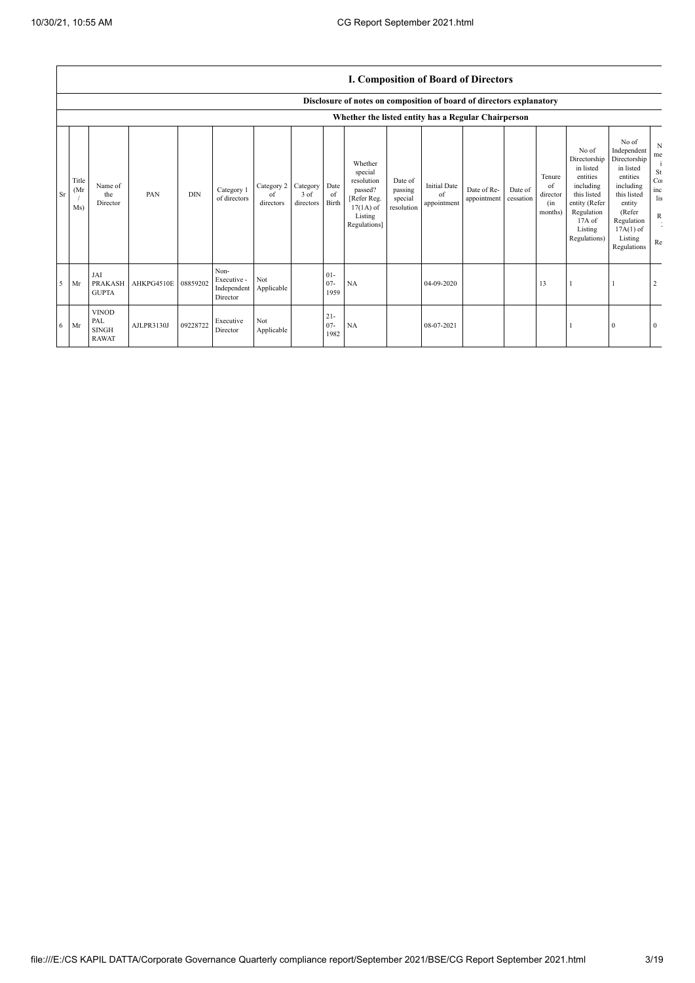|    |                     |                                                     |            |            |                                                           |                               |                               |                          |                                                                                                      |                                             | <b>I. Composition of Board of Directors</b> |                            |                      |                                            |                                                                                                                                                |                                                                                                                                                                      |                                                      |
|----|---------------------|-----------------------------------------------------|------------|------------|-----------------------------------------------------------|-------------------------------|-------------------------------|--------------------------|------------------------------------------------------------------------------------------------------|---------------------------------------------|---------------------------------------------|----------------------------|----------------------|--------------------------------------------|------------------------------------------------------------------------------------------------------------------------------------------------|----------------------------------------------------------------------------------------------------------------------------------------------------------------------|------------------------------------------------------|
|    |                     |                                                     |            |            |                                                           |                               |                               |                          | Disclosure of notes on composition of board of directors explanatory                                 |                                             |                                             |                            |                      |                                            |                                                                                                                                                |                                                                                                                                                                      |                                                      |
|    |                     |                                                     |            |            |                                                           |                               |                               |                          | Whether the listed entity has a Regular Chairperson                                                  |                                             |                                             |                            |                      |                                            |                                                                                                                                                |                                                                                                                                                                      |                                                      |
| Sr | Title<br>(Mr<br>Ms) | Name of<br>the<br>Director                          | PAN        | <b>DIN</b> | Category 1<br>of directors                                | Category 2<br>of<br>directors | Category<br>3 of<br>directors | Date<br>of<br>Birth      | Whether<br>special<br>resolution<br>passed?<br>[Refer Reg.<br>$17(1A)$ of<br>Listing<br>Regulations] | Date of<br>passing<br>special<br>resolution | <b>Initial Date</b><br>of<br>appointment    | Date of Re-<br>appointment | Date of<br>cessation | Tenure<br>of<br>director<br>(in<br>months) | No of<br>Directorship<br>in listed<br>entities<br>including<br>this listed<br>entity (Refer<br>Regulation<br>17A of<br>Listing<br>Regulations) | No of<br>Independent<br>Directorship<br>in listed<br>entities<br>including<br>this listed<br>entity<br>(Refer<br>Regulation<br>$17A(1)$ of<br>Listing<br>Regulations | N<br>me<br><b>St</b><br>Co:<br>inc<br>lis<br>R<br>Re |
|    | $5$ Mr              | JAI<br><b>PRAKASH</b><br><b>GUPTA</b>               | AHKPG4510E | 08859202   | Non-<br>Executive -<br>Independent Applicable<br>Director | Not                           |                               | $01 -$<br>$07 -$<br>1959 | NA                                                                                                   |                                             | 04-09-2020                                  |                            |                      | 13                                         |                                                                                                                                                |                                                                                                                                                                      | $\overline{2}$                                       |
| 6  | Mr                  | <b>VINOD</b><br>PAL<br><b>SINGH</b><br><b>RAWAT</b> | AJLPR3130J | 09228722   | Executive<br>Director                                     | Not<br>Applicable             |                               | $21 -$<br>$07 -$<br>1982 | NA                                                                                                   |                                             | 08-07-2021                                  |                            |                      |                                            |                                                                                                                                                | $\theta$                                                                                                                                                             | $\overline{0}$                                       |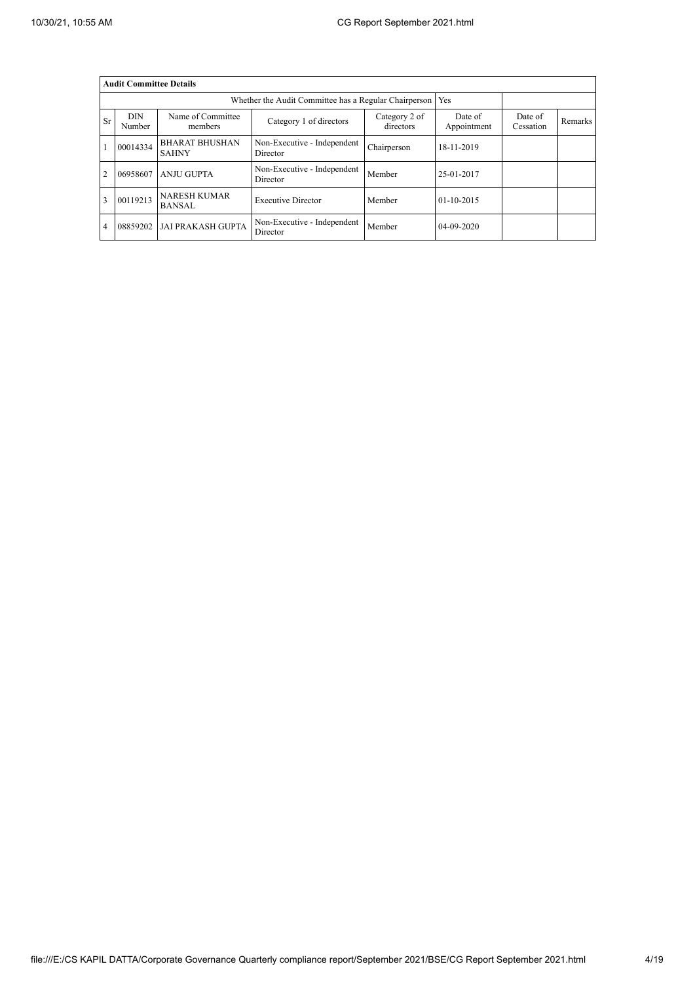|                | <b>Audit Committee Details</b> |                                       |                                                       |                            |                        |                      |                |  |  |  |
|----------------|--------------------------------|---------------------------------------|-------------------------------------------------------|----------------------------|------------------------|----------------------|----------------|--|--|--|
|                |                                |                                       | Whether the Audit Committee has a Regular Chairperson |                            | Yes                    |                      |                |  |  |  |
| <b>Sr</b>      | <b>DIN</b><br>Number           | Name of Committee<br>members          | Category 1 of directors                               | Category 2 of<br>directors | Date of<br>Appointment | Date of<br>Cessation | <b>Remarks</b> |  |  |  |
|                | 00014334                       | <b>BHARAT BHUSHAN</b><br><b>SAHNY</b> | Non-Executive - Independent<br>Director               | Chairperson                | 18-11-2019             |                      |                |  |  |  |
| $\overline{2}$ | 06958607                       | <b>ANJU GUPTA</b>                     | Non-Executive - Independent<br>Director               | Member                     | 25-01-2017             |                      |                |  |  |  |
| 3              | 00119213                       | <b>NARESH KUMAR</b><br><b>BANSAL</b>  | <b>Executive Director</b>                             | Member                     | $01-10-2015$           |                      |                |  |  |  |
| 4              | 08859202                       | <b>JAI PRAKASH GUPTA</b>              | Non-Executive - Independent<br>Director               | Member                     | 04-09-2020             |                      |                |  |  |  |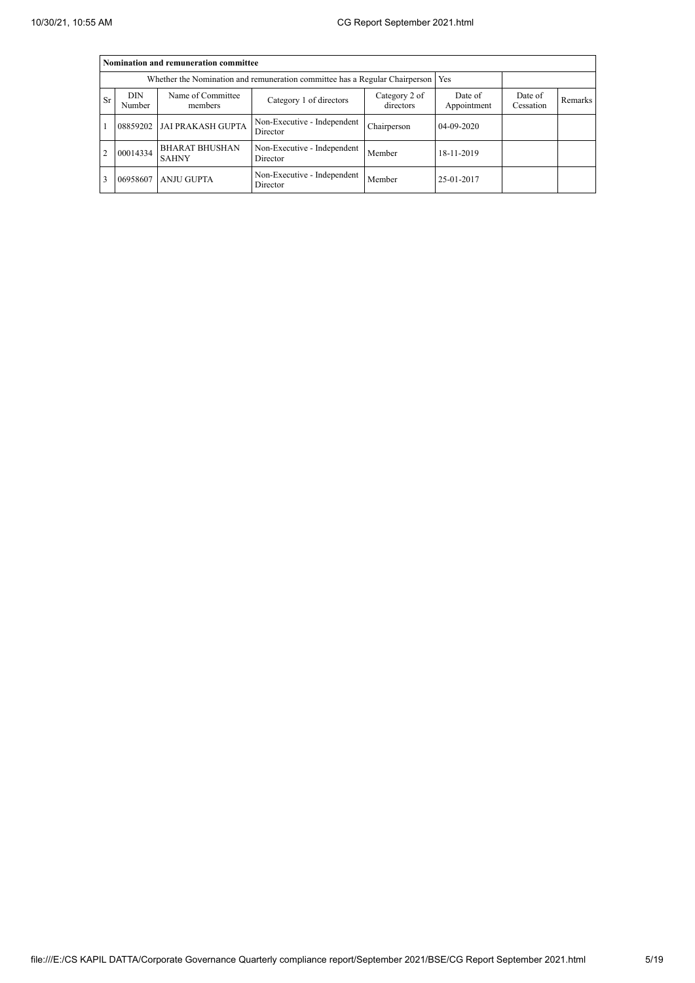|                | Nomination and remuneration committee |                                       |                                                                                   |                            |                        |                      |         |  |  |  |
|----------------|---------------------------------------|---------------------------------------|-----------------------------------------------------------------------------------|----------------------------|------------------------|----------------------|---------|--|--|--|
|                |                                       |                                       | Whether the Nomination and remuneration committee has a Regular Chairperson   Yes |                            |                        |                      |         |  |  |  |
| <b>Sr</b>      | DIN<br>Number                         | Name of Committee<br>members          | Category 1 of directors                                                           | Category 2 of<br>directors | Date of<br>Appointment | Date of<br>Cessation | Remarks |  |  |  |
|                | 08859202                              | <b>JAI PRAKASH GUPTA</b>              | Non-Executive - Independent<br>Director                                           | Chairperson                | 04-09-2020             |                      |         |  |  |  |
| $\overline{2}$ | 00014334                              | <b>BHARAT BHUSHAN</b><br><b>SAHNY</b> | Non-Executive - Independent<br>Director                                           | Member                     | 18-11-2019             |                      |         |  |  |  |
| 3              | 06958607                              | <b>ANJU GUPTA</b>                     | Non-Executive - Independent<br>Director                                           | Member                     | 25-01-2017             |                      |         |  |  |  |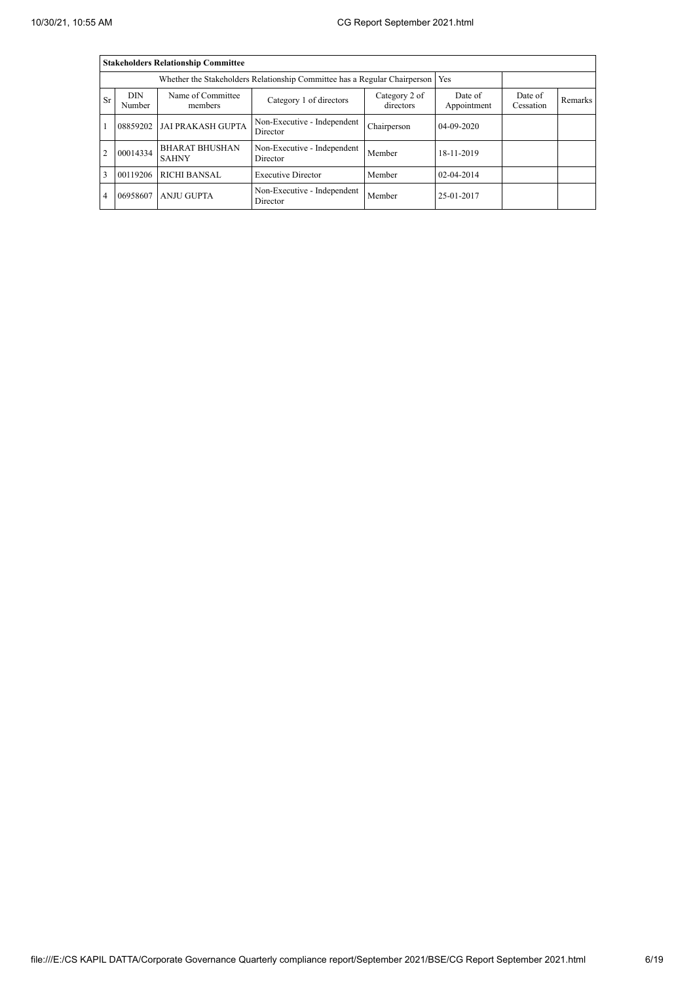|                |                      | <b>Stakeholders Relationship Committee</b> |                                         |                            |                        |                      |         |
|----------------|----------------------|--------------------------------------------|-----------------------------------------|----------------------------|------------------------|----------------------|---------|
|                |                      |                                            |                                         |                            |                        |                      |         |
| <b>Sr</b>      | <b>DIN</b><br>Number | Name of Committee<br>members               | Category 1 of directors                 | Category 2 of<br>directors | Date of<br>Appointment | Date of<br>Cessation | Remarks |
|                | 08859202             | <b>JAI PRAKASH GUPTA</b>                   | Non-Executive - Independent<br>Director | Chairperson                | 04-09-2020             |                      |         |
| $\overline{2}$ | 00014334             | <b>BHARAT BHUSHAN</b><br><b>SAHNY</b>      | Non-Executive - Independent<br>Director | Member                     | 18-11-2019             |                      |         |
| 3              | 00119206             | <b>RICHI BANSAL</b>                        | <b>Executive Director</b>               | Member                     | $02 - 04 - 2014$       |                      |         |
| 4              | 06958607             | <b>ANJU GUPTA</b>                          | Non-Executive - Independent<br>Director | Member                     | 25-01-2017             |                      |         |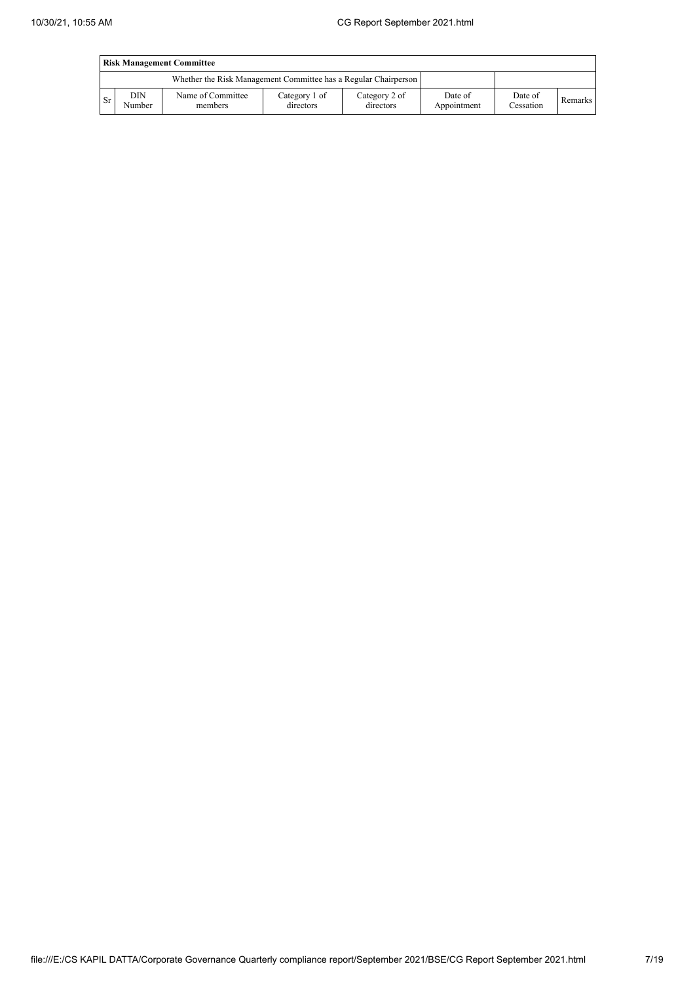|      | <b>Risk Management Committee</b> |                                                                 |                            |                            |                        |                      |         |  |  |
|------|----------------------------------|-----------------------------------------------------------------|----------------------------|----------------------------|------------------------|----------------------|---------|--|--|
|      |                                  | Whether the Risk Management Committee has a Regular Chairperson |                            |                            |                        |                      |         |  |  |
| l Sr | DIN<br>Number                    | Name of Committee<br>members                                    | Category 1 of<br>directors | Category 2 of<br>directors | Date of<br>Appointment | Date of<br>Cessation | Remarks |  |  |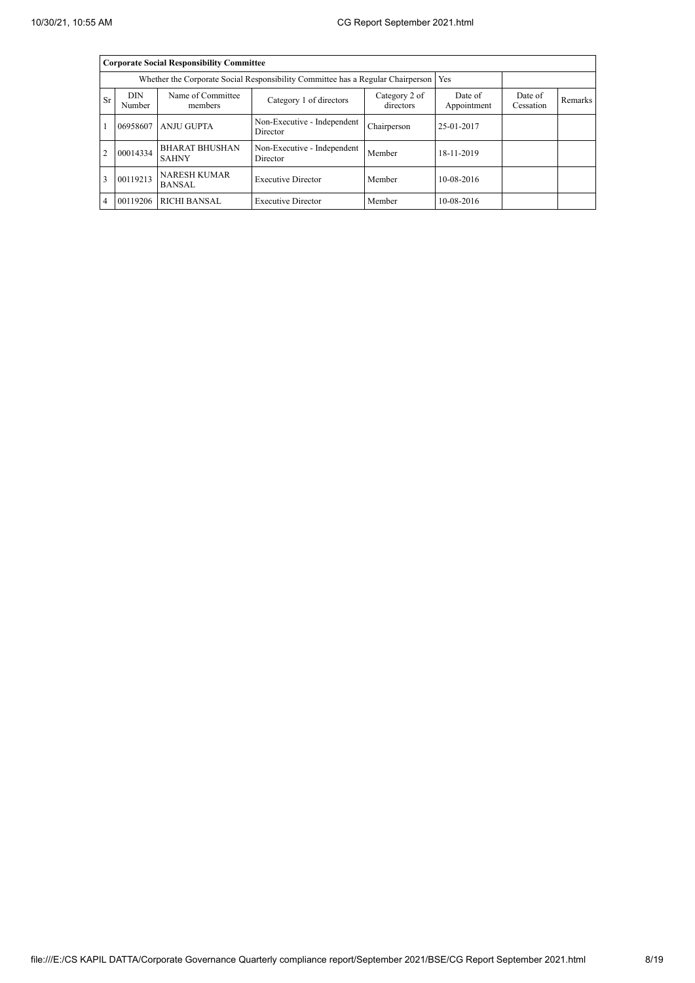|                |                      | <b>Corporate Social Responsibility Committee</b>                                |                                         |                            |                        |                      |         |
|----------------|----------------------|---------------------------------------------------------------------------------|-----------------------------------------|----------------------------|------------------------|----------------------|---------|
|                |                      | Whether the Corporate Social Responsibility Committee has a Regular Chairperson |                                         | Yes                        |                        |                      |         |
| <b>Sr</b>      | <b>DIN</b><br>Number | Name of Committee<br>members                                                    | Category 1 of directors                 | Category 2 of<br>directors | Date of<br>Appointment | Date of<br>Cessation | Remarks |
|                | 06958607             | <b>ANJU GUPTA</b>                                                               | Non-Executive - Independent<br>Director | Chairperson                | 25-01-2017             |                      |         |
| $\overline{2}$ | 00014334             | <b>BHARAT BHUSHAN</b><br><b>SAHNY</b>                                           | Non-Executive - Independent<br>Director | Member                     | 18-11-2019             |                      |         |
| 3              | 00119213             | <b>NARESH KUMAR</b><br><b>BANSAL</b>                                            | <b>Executive Director</b>               | Member                     | 10-08-2016             |                      |         |
| $\overline{4}$ | 00119206             | <b>RICHI BANSAL</b>                                                             | <b>Executive Director</b>               | Member                     | 10-08-2016             |                      |         |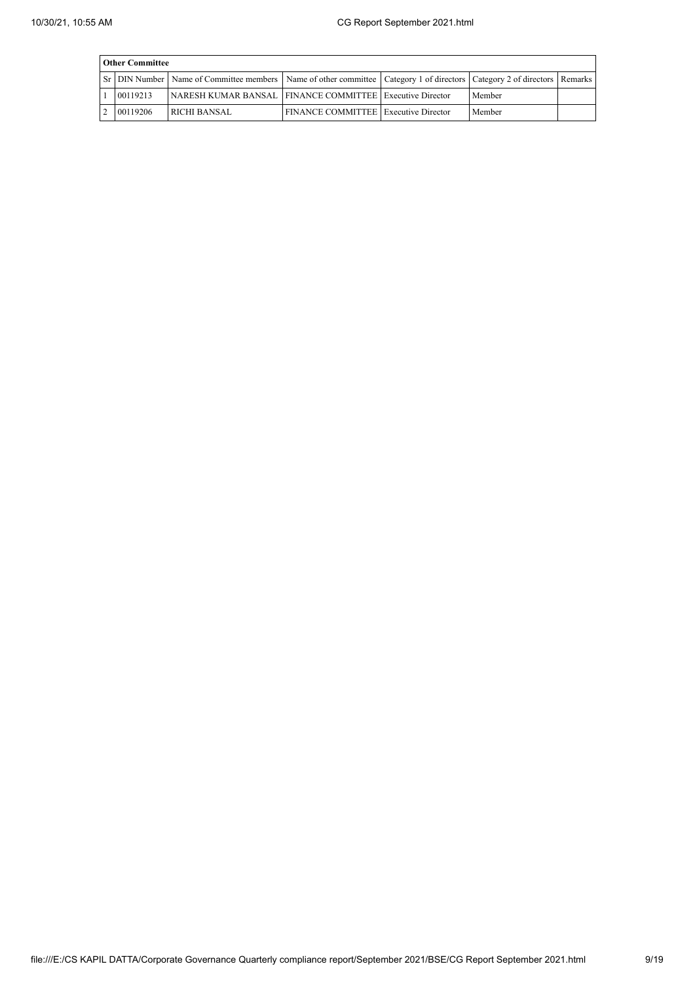| <b>Other Committee</b> |                                                                                                                                   |                                             |  |        |  |  |  |  |  |
|------------------------|-----------------------------------------------------------------------------------------------------------------------------------|---------------------------------------------|--|--------|--|--|--|--|--|
|                        | ST DIN Number   Name of Committee members   Name of other committee   Category 1 of directors   Category 2 of directors   Remarks |                                             |  |        |  |  |  |  |  |
| 00119213               | NARESH KUMAR BANSAL   FINANCE COMMITTEE   Executive Director                                                                      |                                             |  | Member |  |  |  |  |  |
| 00119206               | <b>RICHI BANSAL</b>                                                                                                               | <b>FINANCE COMMITTEE Executive Director</b> |  | Member |  |  |  |  |  |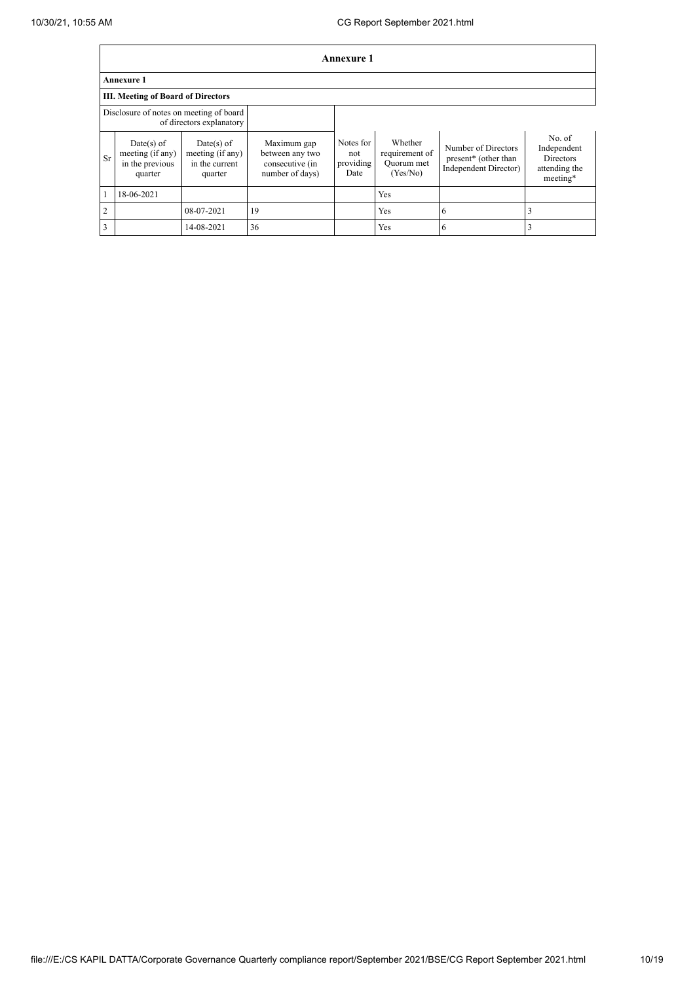|                | <b>Annexure 1</b>                                              |                                                             |                                                                      |                                       |                                                     |                                                                      |                                                                        |  |  |
|----------------|----------------------------------------------------------------|-------------------------------------------------------------|----------------------------------------------------------------------|---------------------------------------|-----------------------------------------------------|----------------------------------------------------------------------|------------------------------------------------------------------------|--|--|
|                | <b>Annexure 1</b>                                              |                                                             |                                                                      |                                       |                                                     |                                                                      |                                                                        |  |  |
|                | <b>III.</b> Meeting of Board of Directors                      |                                                             |                                                                      |                                       |                                                     |                                                                      |                                                                        |  |  |
|                | Disclosure of notes on meeting of board                        | of directors explanatory                                    |                                                                      |                                       |                                                     |                                                                      |                                                                        |  |  |
| <b>Sr</b>      | $Date(s)$ of<br>meeting (if any)<br>in the previous<br>quarter | Date(s) of<br>meeting (if any)<br>in the current<br>quarter | Maximum gap<br>between any two<br>consecutive (in<br>number of days) | Notes for<br>not<br>providing<br>Date | Whether<br>requirement of<br>Ouorum met<br>(Yes/No) | Number of Directors<br>present* (other than<br>Independent Director) | No. of<br>Independent<br><b>Directors</b><br>attending the<br>meeting* |  |  |
|                | 18-06-2021                                                     |                                                             |                                                                      |                                       | Yes                                                 |                                                                      |                                                                        |  |  |
| $\overline{2}$ |                                                                | 08-07-2021                                                  | 19                                                                   |                                       | Yes                                                 | 6                                                                    | 3                                                                      |  |  |
| 3              |                                                                | 14-08-2021                                                  | 36                                                                   |                                       | Yes                                                 | 6                                                                    | 3                                                                      |  |  |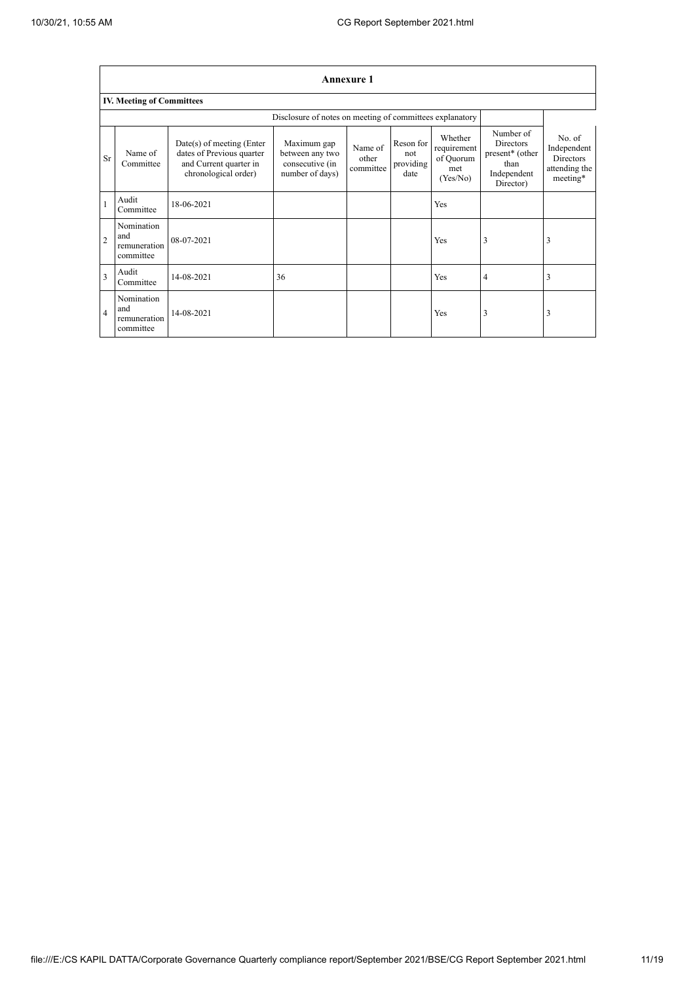|                | <b>Annexure 1</b>                              |                                                                                                            |                                                                      |                               |                                       |                                                        |                                                                                      |                                                                        |  |
|----------------|------------------------------------------------|------------------------------------------------------------------------------------------------------------|----------------------------------------------------------------------|-------------------------------|---------------------------------------|--------------------------------------------------------|--------------------------------------------------------------------------------------|------------------------------------------------------------------------|--|
|                | <b>IV. Meeting of Committees</b>               |                                                                                                            |                                                                      |                               |                                       |                                                        |                                                                                      |                                                                        |  |
|                |                                                |                                                                                                            | Disclosure of notes on meeting of committees explanatory             |                               |                                       |                                                        |                                                                                      |                                                                        |  |
| <b>Sr</b>      | Name of<br>Committee                           | $Date(s)$ of meeting (Enter<br>dates of Previous quarter<br>and Current quarter in<br>chronological order) | Maximum gap<br>between any two<br>consecutive (in<br>number of days) | Name of<br>other<br>committee | Reson for<br>not<br>providing<br>date | Whether<br>requirement<br>of Quorum<br>met<br>(Yes/No) | Number of<br><b>Directors</b><br>present* (other<br>than<br>Independent<br>Director) | No. of<br>Independent<br><b>Directors</b><br>attending the<br>meeting* |  |
|                | Audit<br>Committee                             | 18-06-2021                                                                                                 |                                                                      |                               |                                       | Yes                                                    |                                                                                      |                                                                        |  |
| $\overline{2}$ | Nomination<br>and<br>remuneration<br>committee | 08-07-2021                                                                                                 |                                                                      |                               |                                       | Yes                                                    | 3                                                                                    | 3                                                                      |  |
| 3              | Audit<br>Committee                             | 14-08-2021                                                                                                 | 36                                                                   |                               |                                       | Yes                                                    | 4                                                                                    | 3                                                                      |  |
| $\overline{4}$ | Nomination<br>and<br>remuneration<br>committee | 14-08-2021                                                                                                 |                                                                      |                               |                                       | Yes                                                    | 3                                                                                    | 3                                                                      |  |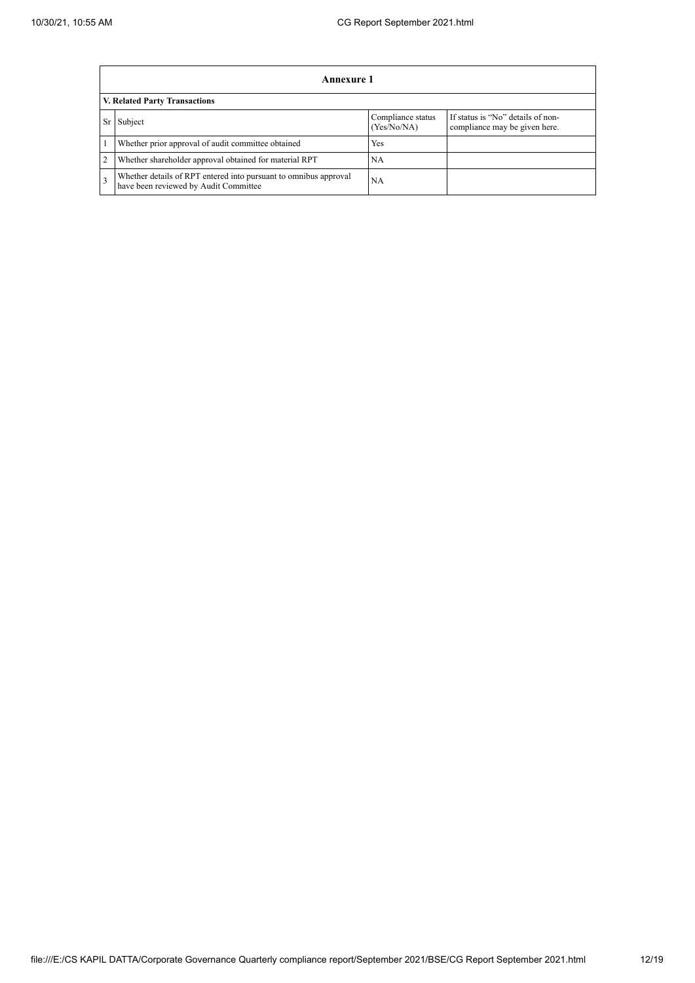|                | Annexure 1                                                                                                |                                  |                                                                    |  |  |  |  |  |
|----------------|-----------------------------------------------------------------------------------------------------------|----------------------------------|--------------------------------------------------------------------|--|--|--|--|--|
|                | <b>V. Related Party Transactions</b>                                                                      |                                  |                                                                    |  |  |  |  |  |
| Sr             | Subject                                                                                                   | Compliance status<br>(Yes/No/NA) | If status is "No" details of non-<br>compliance may be given here. |  |  |  |  |  |
|                | Whether prior approval of audit committee obtained                                                        | Yes                              |                                                                    |  |  |  |  |  |
| $\overline{2}$ | Whether shareholder approval obtained for material RPT                                                    | <b>NA</b>                        |                                                                    |  |  |  |  |  |
|                | Whether details of RPT entered into pursuant to omnibus approval<br>have been reviewed by Audit Committee | <b>NA</b>                        |                                                                    |  |  |  |  |  |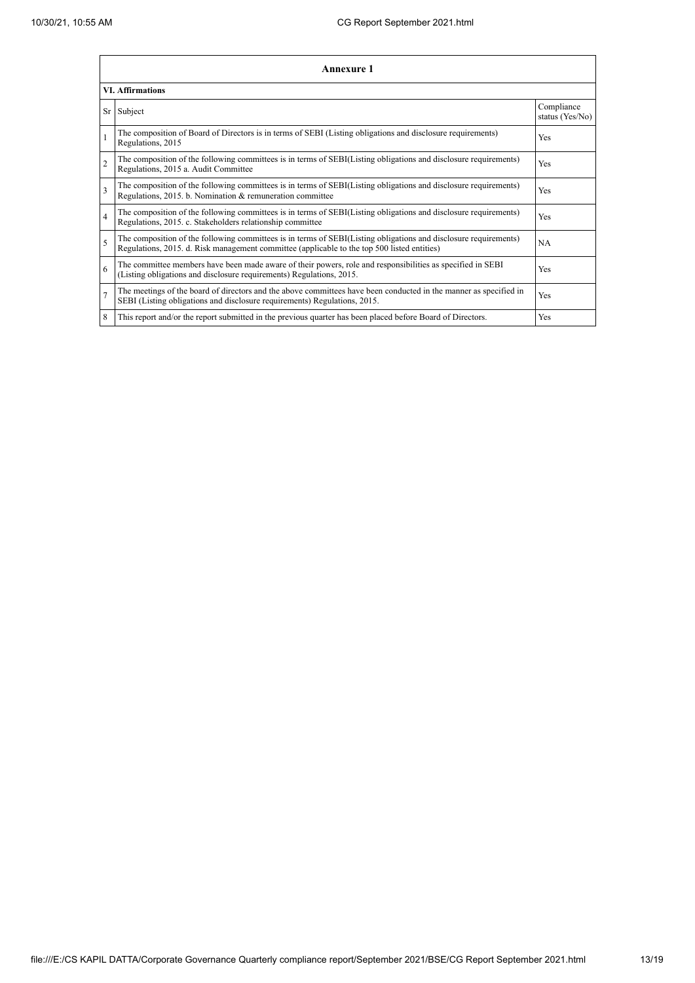|                | Annexure 1                                                                                                                                                                                                      |                               |  |  |  |
|----------------|-----------------------------------------------------------------------------------------------------------------------------------------------------------------------------------------------------------------|-------------------------------|--|--|--|
|                | <b>VI. Affirmations</b>                                                                                                                                                                                         |                               |  |  |  |
|                | Sr Subject                                                                                                                                                                                                      | Compliance<br>status (Yes/No) |  |  |  |
|                | The composition of Board of Directors is in terms of SEBI (Listing obligations and disclosure requirements)<br>Regulations, 2015                                                                                | Yes                           |  |  |  |
| $\overline{2}$ | The composition of the following committees is in terms of SEBI(Listing obligations and disclosure requirements)<br>Regulations, 2015 a. Audit Committee                                                        | <b>Yes</b>                    |  |  |  |
| 3              | The composition of the following committees is in terms of SEBI(Listing obligations and disclosure requirements)<br>Regulations, 2015. b. Nomination & remuneration committee                                   | Yes                           |  |  |  |
| $\overline{4}$ | The composition of the following committees is in terms of SEBI(Listing obligations and disclosure requirements)<br>Regulations, 2015. c. Stakeholders relationship committee                                   | <b>Yes</b>                    |  |  |  |
| 5              | The composition of the following committees is in terms of SEBI(Listing obligations and disclosure requirements)<br>Regulations, 2015. d. Risk management committee (applicable to the top 500 listed entities) | <b>NA</b>                     |  |  |  |
| 6              | The committee members have been made aware of their powers, role and responsibilities as specified in SEBI<br>(Listing obligations and disclosure requirements) Regulations, 2015.                              | Yes                           |  |  |  |
| $\overline{7}$ | The meetings of the board of directors and the above committees have been conducted in the manner as specified in<br>SEBI (Listing obligations and disclosure requirements) Regulations, 2015.                  | Yes                           |  |  |  |
| 8              | This report and/or the report submitted in the previous quarter has been placed before Board of Directors.                                                                                                      | Yes                           |  |  |  |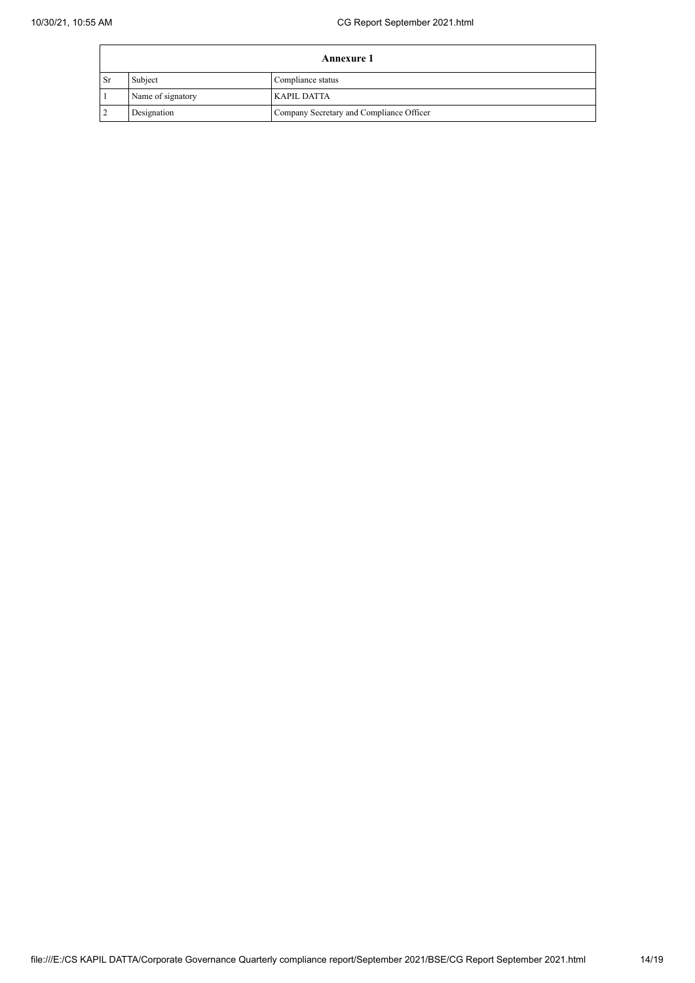|                        | <b>Annexure 1</b> |                                          |  |
|------------------------|-------------------|------------------------------------------|--|
| $\mathsf{S}\mathbf{r}$ | Subject           | Compliance status                        |  |
|                        | Name of signatory | KAPIL DATTA                              |  |
|                        | Designation       | Company Secretary and Compliance Officer |  |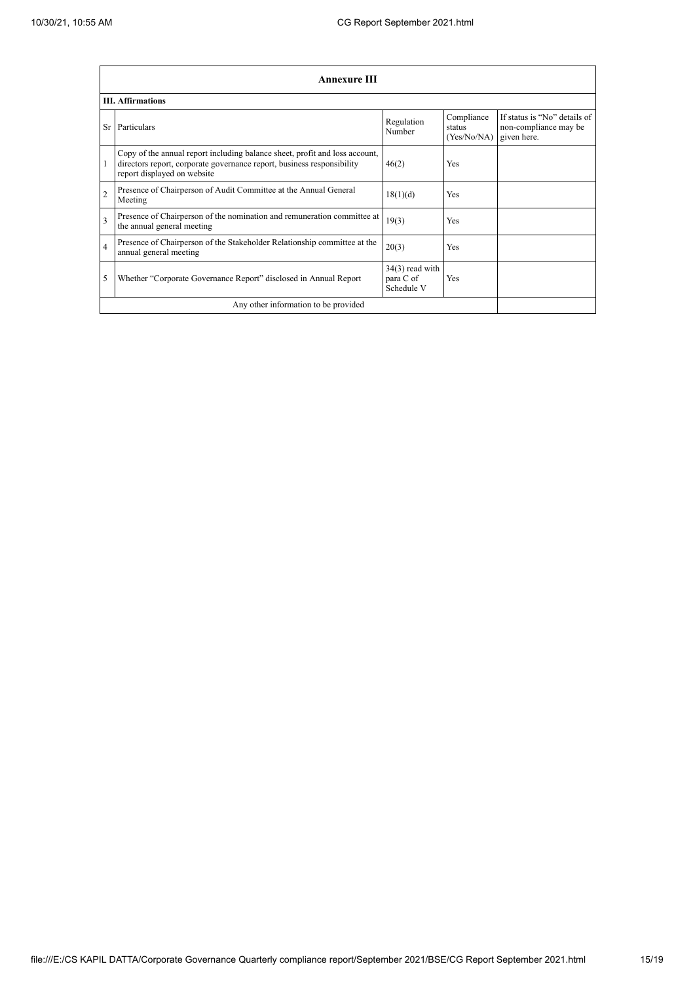|                         | <b>Annexure III</b>                                                                                                                                                                  |                                              |                                     |                                                                      |  |
|-------------------------|--------------------------------------------------------------------------------------------------------------------------------------------------------------------------------------|----------------------------------------------|-------------------------------------|----------------------------------------------------------------------|--|
|                         | <b>III.</b> Affirmations                                                                                                                                                             |                                              |                                     |                                                                      |  |
|                         | Sr Particulars                                                                                                                                                                       | Regulation<br>Number                         | Compliance<br>status<br>(Yes/No/NA) | If status is "No" details of<br>non-compliance may be<br>given here. |  |
|                         | Copy of the annual report including balance sheet, profit and loss account,<br>directors report, corporate governance report, business responsibility<br>report displayed on website | 46(2)                                        | <b>Yes</b>                          |                                                                      |  |
| $\overline{2}$          | Presence of Chairperson of Audit Committee at the Annual General<br>Meeting                                                                                                          | 18(1)(d)                                     | Yes                                 |                                                                      |  |
| $\overline{\mathbf{3}}$ | Presence of Chairperson of the nomination and remuneration committee at<br>the annual general meeting                                                                                | 19(3)                                        | Yes                                 |                                                                      |  |
| 4                       | Presence of Chairperson of the Stakeholder Relationship committee at the<br>annual general meeting                                                                                   | 20(3)                                        | Yes                                 |                                                                      |  |
| 5                       | Whether "Corporate Governance Report" disclosed in Annual Report                                                                                                                     | $34(3)$ read with<br>para C of<br>Schedule V | Yes                                 |                                                                      |  |
|                         | Any other information to be provided                                                                                                                                                 |                                              |                                     |                                                                      |  |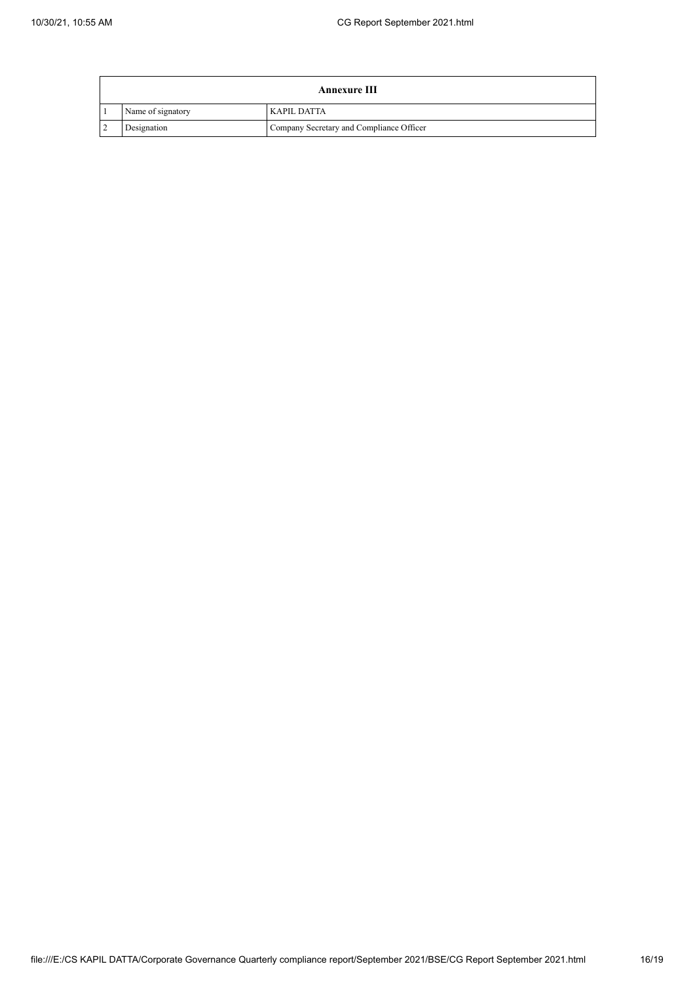|                | <b>Annexure III</b> |                                          |  |  |
|----------------|---------------------|------------------------------------------|--|--|
|                | Name of signatory   | <b>KAPIL DATTA</b>                       |  |  |
| $\overline{2}$ | Designation         | Company Secretary and Compliance Officer |  |  |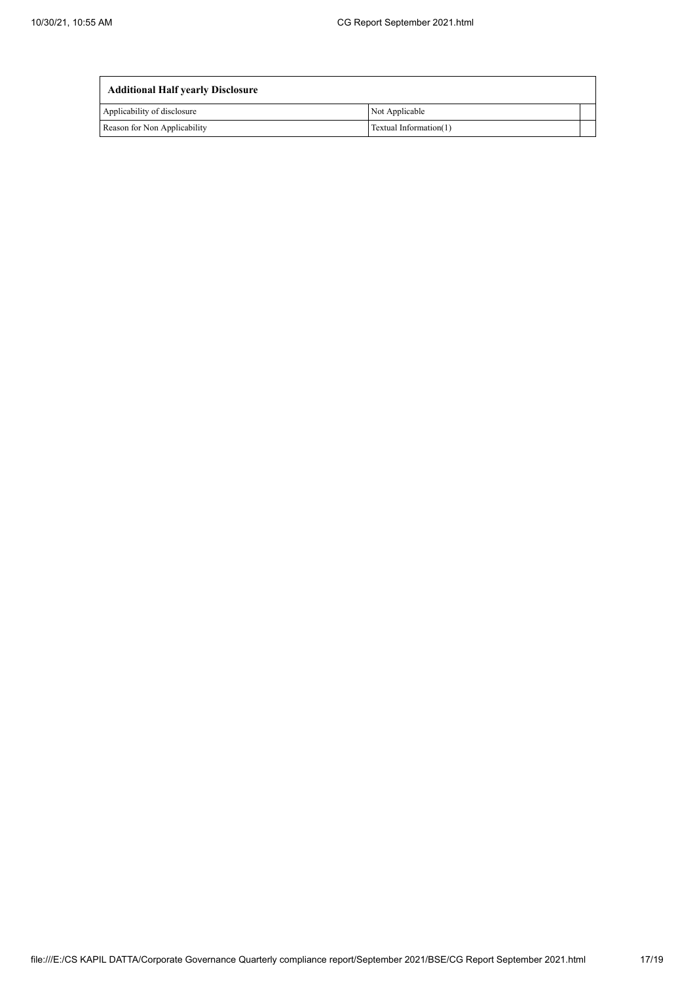| <b>Additional Half yearly Disclosure</b> |                        |  |
|------------------------------------------|------------------------|--|
| Applicability of disclosure              | Not Applicable         |  |
| Reason for Non Applicability             | Textual Information(1) |  |